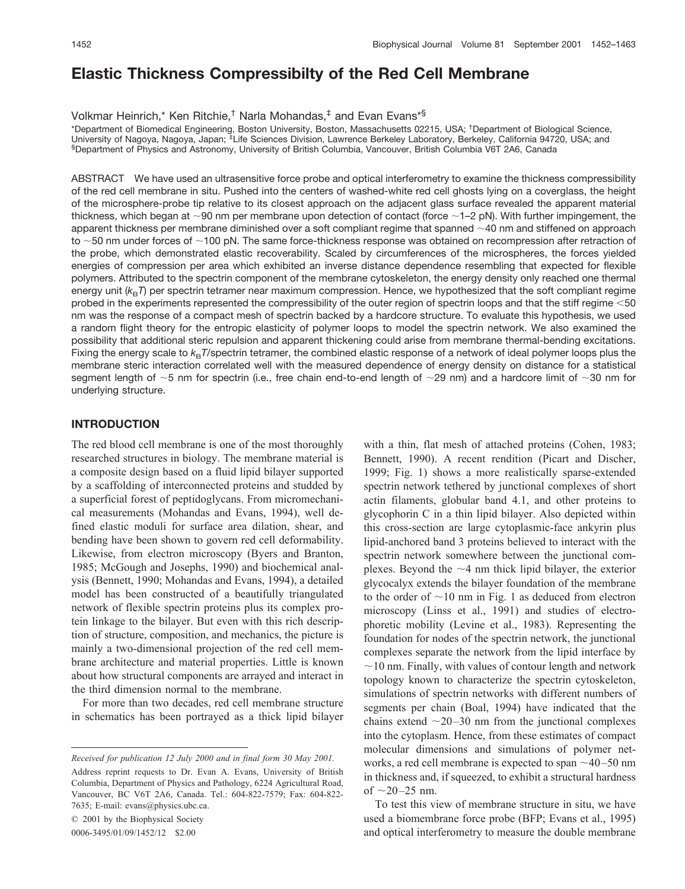# **Elastic Thickness Compressibilty of the Red Cell Membrane**

# Volkmar Heinrich,\* Ken Ritchie,† Narla Mohandas,‡ and Evan Evans\*§

\*Department of Biomedical Engineering, Boston University, Boston, Massachusetts 02215, USA; † Department of Biological Science, University of Nagoya, Nagoya, Japan; <sup>‡</sup>Life Sciences Division, Lawrence Berkeley Laboratory, Berkeley, California 94720, USA; and § Department of Physics and Astronomy, University of British Columbia, Vancouver, British Columbia V6T 2A6, Canada

ABSTRACT We have used an ultrasensitive force probe and optical interferometry to examine the thickness compressibility of the red cell membrane in situ. Pushed into the centers of washed-white red cell ghosts lying on a coverglass, the height of the microsphere-probe tip relative to its closest approach on the adjacent glass surface revealed the apparent material thickness, which began at  $\sim$ 90 nm per membrane upon detection of contact (force  $\sim$ 1–2 pN). With further impingement, the apparent thickness per membrane diminished over a soft compliant regime that spanned  $\sim$ 40 nm and stiffened on approach to  $\sim$ 50 nm under forces of  $\sim$ 100 pN. The same force-thickness response was obtained on recompression after retraction of the probe, which demonstrated elastic recoverability. Scaled by circumferences of the microspheres, the forces yielded energies of compression per area which exhibited an inverse distance dependence resembling that expected for flexible polymers. Attributed to the spectrin component of the membrane cytoskeleton, the energy density only reached one thermal energy unit  $(k<sub>B</sub>T)$  per spectrin tetramer near maximum compression. Hence, we hypothesized that the soft compliant regime probed in the experiments represented the compressibility of the outer region of spectrin loops and that the stiff regime <50 nm was the response of a compact mesh of spectrin backed by a hardcore structure. To evaluate this hypothesis, we used a random flight theory for the entropic elasticity of polymer loops to model the spectrin network. We also examined the possibility that additional steric repulsion and apparent thickening could arise from membrane thermal-bending excitations. Fixing the energy scale to  $k_B T$ /spectrin tetramer, the combined elastic response of a network of ideal polymer loops plus the membrane steric interaction correlated well with the measured dependence of energy density on distance for a statistical segment length of  $\sim$ 5 nm for spectrin (i.e., free chain end-to-end length of  $\sim$ 29 nm) and a hardcore limit of  $\sim$ 30 nm for underlying structure.

# **INTRODUCTION**

The red blood cell membrane is one of the most thoroughly researched structures in biology. The membrane material is a composite design based on a fluid lipid bilayer supported by a scaffolding of interconnected proteins and studded by a superficial forest of peptidoglycans. From micromechanical measurements (Mohandas and Evans, 1994), well defined elastic moduli for surface area dilation, shear, and bending have been shown to govern red cell deformability. Likewise, from electron microscopy (Byers and Branton, 1985; McGough and Josephs, 1990) and biochemical analysis (Bennett, 1990; Mohandas and Evans, 1994), a detailed model has been constructed of a beautifully triangulated network of flexible spectrin proteins plus its complex protein linkage to the bilayer. But even with this rich description of structure, composition, and mechanics, the picture is mainly a two-dimensional projection of the red cell membrane architecture and material properties. Little is known about how structural components are arrayed and interact in the third dimension normal to the membrane.

For more than two decades, red cell membrane structure in schematics has been portrayed as a thick lipid bilayer

Address reprint requests to Dr. Evan A. Evans, University of British Columbia, Department of Physics and Pathology, 6224 Agricultural Road, Vancouver, BC V6T 2A6, Canada. Tel.: 604-822-7579; Fax: 604-822- 7635; E-mail: evans@physics.ubc.ca.

© 2001 by the Biophysical Society

0006-3495/01/09/1452/12 \$2.00

with a thin, flat mesh of attached proteins (Cohen, 1983; Bennett, 1990). A recent rendition (Picart and Discher, 1999; Fig. 1) shows a more realistically sparse-extended spectrin network tethered by junctional complexes of short actin filaments, globular band 4.1, and other proteins to glycophorin C in a thin lipid bilayer. Also depicted within this cross-section are large cytoplasmic-face ankyrin plus lipid-anchored band 3 proteins believed to interact with the spectrin network somewhere between the junctional complexes. Beyond the  $\sim$ 4 nm thick lipid bilayer, the exterior glycocalyx extends the bilayer foundation of the membrane to the order of  $\sim$ 10 nm in Fig. 1 as deduced from electron microscopy (Linss et al., 1991) and studies of electrophoretic mobility (Levine et al., 1983). Representing the foundation for nodes of the spectrin network, the junctional complexes separate the network from the lipid interface by  $\sim$  10 nm. Finally, with values of contour length and network topology known to characterize the spectrin cytoskeleton, simulations of spectrin networks with different numbers of segments per chain (Boal, 1994) have indicated that the chains extend  $\sim$  20–30 nm from the junctional complexes into the cytoplasm. Hence, from these estimates of compact molecular dimensions and simulations of polymer networks, a red cell membrane is expected to span  $\sim$ 40–50 nm in thickness and, if squeezed, to exhibit a structural hardness of  $\sim$ 20–25 nm.

To test this view of membrane structure in situ, we have used a biomembrane force probe (BFP; Evans et al., 1995) and optical interferometry to measure the double membrane

*Received for publication 12 July 2000 and in final form 30 May 2001.*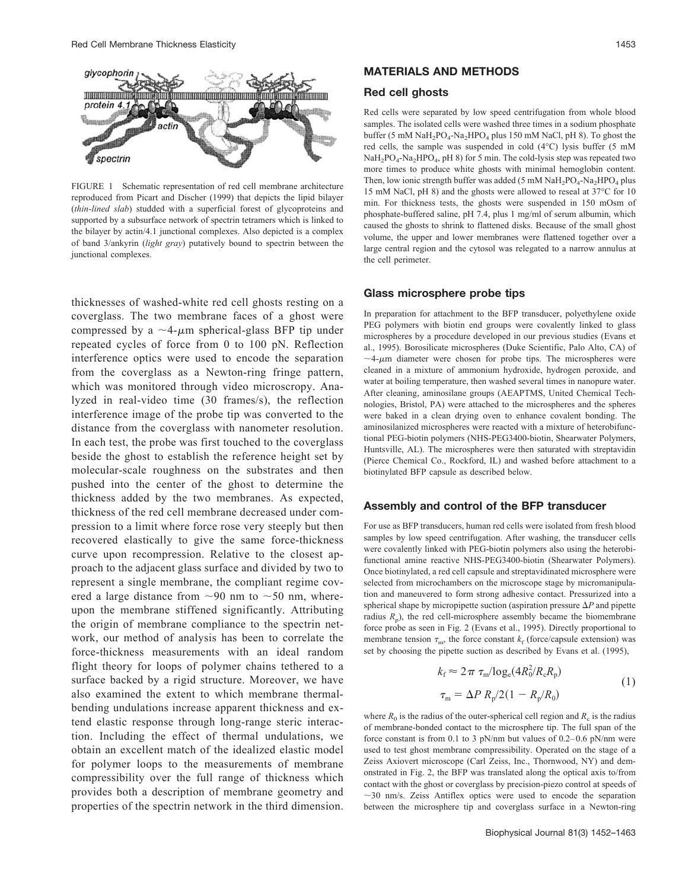

FIGURE 1 Schematic representation of red cell membrane architecture reproduced from Picart and Discher (1999) that depicts the lipid bilayer (*thin-lined slab*) studded with a superficial forest of glycoproteins and supported by a subsurface network of spectrin tetramers which is linked to the bilayer by actin/4.1 junctional complexes. Also depicted is a complex of band 3/ankyrin (*light gray*) putatively bound to spectrin between the junctional complexes.

thicknesses of washed-white red cell ghosts resting on a coverglass. The two membrane faces of a ghost were compressed by a  $\sim$ 4- $\mu$ m spherical-glass BFP tip under repeated cycles of force from 0 to 100 pN. Reflection interference optics were used to encode the separation from the coverglass as a Newton-ring fringe pattern, which was monitored through video microscropy. Analyzed in real-video time (30 frames/s), the reflection interference image of the probe tip was converted to the distance from the coverglass with nanometer resolution. In each test, the probe was first touched to the coverglass beside the ghost to establish the reference height set by molecular-scale roughness on the substrates and then pushed into the center of the ghost to determine the thickness added by the two membranes. As expected, thickness of the red cell membrane decreased under compression to a limit where force rose very steeply but then recovered elastically to give the same force-thickness curve upon recompression. Relative to the closest approach to the adjacent glass surface and divided by two to represent a single membrane, the compliant regime covered a large distance from  $\sim$ 90 nm to  $\sim$ 50 nm, whereupon the membrane stiffened significantly. Attributing the origin of membrane compliance to the spectrin network, our method of analysis has been to correlate the force-thickness measurements with an ideal random flight theory for loops of polymer chains tethered to a surface backed by a rigid structure. Moreover, we have also examined the extent to which membrane thermalbending undulations increase apparent thickness and extend elastic response through long-range steric interaction. Including the effect of thermal undulations, we obtain an excellent match of the idealized elastic model for polymer loops to the measurements of membrane compressibility over the full range of thickness which provides both a description of membrane geometry and properties of the spectrin network in the third dimension.

#### **Red cell ghosts**

Red cells were separated by low speed centrifugation from whole blood samples. The isolated cells were washed three times in a sodium phosphate buffer (5 mM  $\text{NaH}_2\text{PO}_4\text{-Na}_2\text{HPO}_4$  plus 150 mM NaCl, pH 8). To ghost the red cells, the sample was suspended in cold (4°C) lysis buffer (5 mM  $NaH<sub>2</sub>PO<sub>4</sub>-Na<sub>2</sub>HPO<sub>4</sub>$ , pH 8) for 5 min. The cold-lysis step was repeated two more times to produce white ghosts with minimal hemoglobin content. Then, low ionic strength buffer was added (5 mM  $NaH_2PO_4-Na_2HPO_4$  plus 15 mM NaCl, pH 8) and the ghosts were allowed to reseal at 37°C for 10 min. For thickness tests, the ghosts were suspended in 150 mOsm of phosphate-buffered saline, pH 7.4, plus 1 mg/ml of serum albumin, which caused the ghosts to shrink to flattened disks. Because of the small ghost volume, the upper and lower membranes were flattened together over a large central region and the cytosol was relegated to a narrow annulus at the cell perimeter.

## **Glass microsphere probe tips**

In preparation for attachment to the BFP transducer, polyethylene oxide PEG polymers with biotin end groups were covalently linked to glass microspheres by a procedure developed in our previous studies (Evans et al., 1995). Borosilicate microspheres (Duke Scientific, Palo Alto, CA) of  $\sim$ 4- $\mu$ m diameter were chosen for probe tips. The microspheres were cleaned in a mixture of ammonium hydroxide, hydrogen peroxide, and water at boiling temperature, then washed several times in nanopure water. After cleaning, aminosilane groups (AEAPTMS, United Chemical Technologies, Bristol, PA) were attached to the microspheres and the spheres were baked in a clean drying oven to enhance covalent bonding. The aminosilanized microspheres were reacted with a mixture of heterobifunctional PEG-biotin polymers (NHS-PEG3400-biotin, Shearwater Polymers, Huntsville, AL). The microspheres were then saturated with streptavidin (Pierce Chemical Co., Rockford, IL) and washed before attachment to a biotinylated BFP capsule as described below.

## **Assembly and control of the BFP transducer**

For use as BFP transducers, human red cells were isolated from fresh blood samples by low speed centrifugation. After washing, the transducer cells were covalently linked with PEG-biotin polymers also using the heterobifunctional amine reactive NHS-PEG3400-biotin (Shearwater Polymers). Once biotinylated, a red cell capsule and streptavidinated microsphere were selected from microchambers on the microscope stage by micromanipulation and maneuvered to form strong adhesive contact. Pressurized into a spherical shape by micropipette suction (aspiration pressure  $\Delta P$  and pipette radius  $R_p$ ), the red cell-microsphere assembly became the biomembrane force probe as seen in Fig. 2 (Evans et al., 1995). Directly proportional to membrane tension  $\tau_{\rm m}$ , the force constant  $k_{\rm f}$  (force/capsule extension) was set by choosing the pipette suction as described by Evans et al. (1995),

$$
k_{\rm f} \approx 2\pi \tau_{\rm m}/\log_{\rm e}(4R_0^2/R_{\rm c}R_{\rm p})
$$
  

$$
\tau_{\rm m} = \Delta P R_{\rm p}/2(1 - R_{\rm p}/R_0)
$$
 (1)

where  $R_0$  is the radius of the outer-spherical cell region and  $R_c$  is the radius of membrane-bonded contact to the microsphere tip. The full span of the force constant is from 0.1 to 3 pN/nm but values of 0.2–0.6 pN/nm were used to test ghost membrane compressibility. Operated on the stage of a Zeiss Axiovert microscope (Carl Zeiss, Inc., Thornwood, NY) and demonstrated in Fig. 2, the BFP was translated along the optical axis to/from contact with the ghost or coverglass by precision-piezo control at speeds of  $\sim$  30 nm/s. Zeiss Antiflex optics were used to encode the separation between the microsphere tip and coverglass surface in a Newton-ring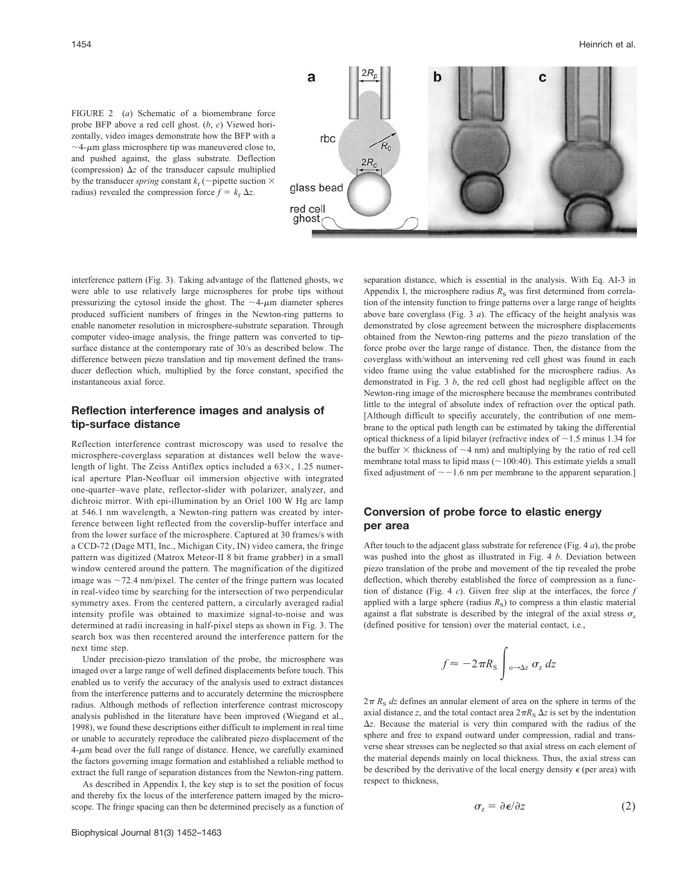



interference pattern (Fig. 3). Taking advantage of the flattened ghosts, we were able to use relatively large microspheres for probe tips without pressurizing the cytosol inside the ghost. The  $\sim$ 4- $\mu$ m diameter spheres produced sufficient numbers of fringes in the Newton-ring patterns to enable nanometer resolution in microsphere-substrate separation. Through computer video-image analysis, the fringe pattern was converted to tipsurface distance at the contemporary rate of 30/s as described below. The difference between piezo translation and tip movement defined the transducer deflection which, multiplied by the force constant, specified the instantaneous axial force.

# **Reflection interference images and analysis of tip-surface distance**

Reflection interference contrast microscopy was used to resolve the microsphere-coverglass separation at distances well below the wavelength of light. The Zeiss Antiflex optics included a  $63\times$ , 1.25 numerical aperture Plan-Neofluar oil immersion objective with integrated one-quarter–wave plate, reflector-slider with polarizer, analyzer, and dichroic mirror. With epi-illumination by an Oriel 100 W Hg arc lamp at 546.1 nm wavelength, a Newton-ring pattern was created by interference between light reflected from the coverslip-buffer interface and from the lower surface of the microsphere. Captured at 30 frames/s with a CCD-72 (Dage MTI, Inc., Michigan City, IN) video camera, the fringe pattern was digitized (Matrox Meteor-II 8 bit frame grabber) in a small window centered around the pattern. The magnification of the digitized image was  $\sim$  72.4 nm/pixel. The center of the fringe pattern was located in real-video time by searching for the intersection of two perpendicular symmetry axes. From the centered pattern, a circularly averaged radial intensity profile was obtained to maximize signal-to-noise and was determined at radii increasing in half-pixel steps as shown in Fig. 3. The search box was then recentered around the interference pattern for the next time step.

Under precision-piezo translation of the probe, the microsphere was imaged over a large range of well defined displacements before touch. This enabled us to verify the accuracy of the analysis used to extract distances from the interference patterns and to accurately determine the microsphere radius. Although methods of reflection interference contrast microscopy analysis published in the literature have been improved (Wiegand et al., 1998), we found these descriptions either difficult to implement in real time or unable to accurately reproduce the calibrated piezo displacement of the  $4-\mu m$  bead over the full range of distance. Hence, we carefully examined the factors governing image formation and established a reliable method to extract the full range of separation distances from the Newton-ring pattern.

As described in Appendix I, the key step is to set the position of focus and thereby fix the locus of the interference pattern imaged by the microscope. The fringe spacing can then be determined precisely as a function of separation distance, which is essential in the analysis. With Eq. AI-3 in Appendix I, the microsphere radius  $R<sub>S</sub>$  was first determined from correlation of the intensity function to fringe patterns over a large range of heights above bare coverglass (Fig. 3 *a*). The efficacy of the height analysis was demonstrated by close agreement between the microsphere displacements obtained from the Newton-ring patterns and the piezo translation of the force probe over the large range of distance. Then, the distance from the coverglass with/without an intervening red cell ghost was found in each video frame using the value established for the microsphere radius. As demonstrated in Fig. 3 *b*, the red cell ghost had negligible affect on the Newton-ring image of the microsphere because the membranes contributed little to the integral of absolute index of refraction over the optical path. [Although difficult to specifiy accurately, the contribution of one membrane to the optical path length can be estimated by taking the differential optical thickness of a lipid bilayer (refractive index of  $\sim$  1.5 minus 1.34 for the buffer  $\times$  thickness of  $\sim$ 4 nm) and multiplying by the ratio of red cell membrane total mass to lipid mass  $(\sim 100:40)$ . This estimate yields a small fixed adjustment of  $\sim$  -1.6 nm per membrane to the apparent separation.]

# **Conversion of probe force to elastic energy per area**

After touch to the adjacent glass substrate for reference (Fig. 4 *a*), the probe was pushed into the ghost as illustrated in Fig. 4 *b*. Deviation between piezo translation of the probe and movement of the tip revealed the probe deflection, which thereby established the force of compression as a function of distance (Fig. 4 *c*). Given free slip at the interfaces, the force *f* applied with a large sphere (radius  $R<sub>S</sub>$ ) to compress a thin elastic material against a flat substrate is described by the integral of the axial stress  $\sigma_z$ (defined positive for tension) over the material contact, i.e.,

$$
f \approx -2\pi R_{\rm S} \int_{0 \to \Delta z} \sigma_z \, dz
$$

 $2\pi R_{\rm s}$  *dz* defines an annular element of area on the sphere in terms of the axial distance *z*, and the total contact area  $2\pi R_s \Delta z$  is set by the indentation  $\Delta z$ . Because the material is very thin compared with the radius of the sphere and free to expand outward under compression, radial and transverse shear stresses can be neglected so that axial stress on each element of the material depends mainly on local thickness. Thus, the axial stress can be described by the derivative of the local energy density  $\epsilon$  (per area) with respect to thickness.

$$
\sigma_z = \partial \epsilon / \partial z \tag{2}
$$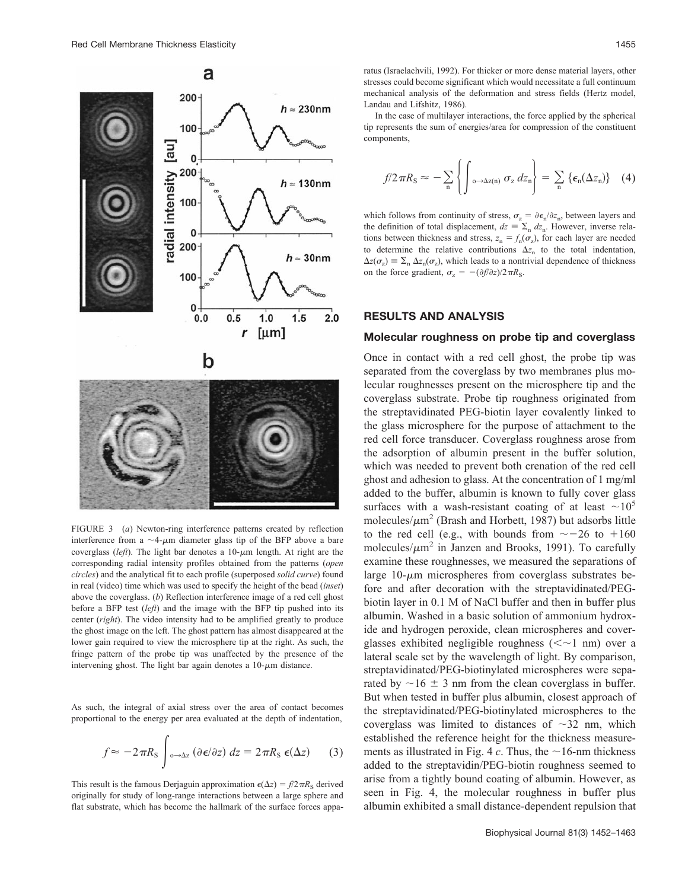

FIGURE 3 (*a*) Newton-ring interference patterns created by reflection interference from a  $\sim$ 4- $\mu$ m diameter glass tip of the BFP above a bare coverglass (*left*). The light bar denotes a  $10$ - $\mu$ m length. At right are the corresponding radial intensity profiles obtained from the patterns (*open circles*) and the analytical fit to each profile (superposed *solid curve*) found in real (video) time which was used to specify the height of the bead (*inset*) above the coverglass. (*b*) Reflection interference image of a red cell ghost before a BFP test (*left*) and the image with the BFP tip pushed into its center (*right*). The video intensity had to be amplified greatly to produce the ghost image on the left. The ghost pattern has almost disappeared at the lower gain required to view the microsphere tip at the right. As such, the fringe pattern of the probe tip was unaffected by the presence of the intervening ghost. The light bar again denotes a  $10$ - $\mu$ m distance.

As such, the integral of axial stress over the area of contact becomes proportional to the energy per area evaluated at the depth of indentation,

$$
f \approx -2\pi R_{\rm S} \int_{0 \to \Delta z} (\partial \epsilon / \partial z) dz = 2\pi R_{\rm S} \epsilon (\Delta z) \qquad (3)
$$

This result is the famous Derjaguin approximation  $\epsilon(\Delta z) = f/2\pi R_s$  derived originally for study of long-range interactions between a large sphere and flat substrate, which has become the hallmark of the surface forces apparatus (Israelachvili, 1992). For thicker or more dense material layers, other stresses could become significant which would necessitate a full continuum mechanical analysis of the deformation and stress fields (Hertz model, Landau and Lifshitz, 1986).

In the case of multilayer interactions, the force applied by the spherical tip represents the sum of energies/area for compression of the constituent components,

$$
f/2\,\pi R_{\rm S} \approx -\sum_{\rm n} \left\{ \int_{0 \to \Delta z(\rm n)} \sigma_{\rm z} \, dz_{\rm n} \right\} = \sum_{\rm n} \left\{ \epsilon_{\rm n}(\Delta z_{\rm n}) \right\} \quad (4)
$$

which follows from continuity of stress,  $\sigma_z = \partial \epsilon_n / \partial z_n$ , between layers and the definition of total displacement,  $dz = \sum_{n} dz_{n}$ . However, inverse relations between thickness and stress,  $z_n = f_n(\sigma_z)$ , for each layer are needed to determine the relative contributions  $\Delta z$ <sub>n</sub> to the total indentation,  $\Delta z(\sigma_z) \equiv \Sigma_n \Delta z_n(\sigma_z)$ , which leads to a nontrivial dependence of thickness on the force gradient,  $\sigma_z = -(\partial f/\partial z)/2\pi R_S$ .

## **RESULTS AND ANALYSIS**

#### **Molecular roughness on probe tip and coverglass**

Once in contact with a red cell ghost, the probe tip was separated from the coverglass by two membranes plus molecular roughnesses present on the microsphere tip and the coverglass substrate. Probe tip roughness originated from the streptavidinated PEG-biotin layer covalently linked to the glass microsphere for the purpose of attachment to the red cell force transducer. Coverglass roughness arose from the adsorption of albumin present in the buffer solution, which was needed to prevent both crenation of the red cell ghost and adhesion to glass. At the concentration of 1 mg/ml added to the buffer, albumin is known to fully cover glass surfaces with a wash-resistant coating of at least  $\sim 10^5$ molecules/ $\mu$ m<sup>2</sup> (Brash and Horbett, 1987) but adsorbs little to the red cell (e.g., with bounds from  $\sim -26$  to  $+160$ molecules/ $\mu$ m<sup>2</sup> in Janzen and Brooks, 1991). To carefully examine these roughnesses, we measured the separations of large  $10$ - $\mu$ m microspheres from coverglass substrates before and after decoration with the streptavidinated/PEGbiotin layer in 0.1 M of NaCl buffer and then in buffer plus albumin. Washed in a basic solution of ammonium hydroxide and hydrogen peroxide, clean microspheres and coverglasses exhibited negligible roughness  $(<1$  nm) over a lateral scale set by the wavelength of light. By comparison, streptavidinated/PEG-biotinylated microspheres were separated by  $\sim$  16  $\pm$  3 nm from the clean coverglass in buffer. But when tested in buffer plus albumin, closest approach of the streptavidinated/PEG-biotinylated microspheres to the coverglass was limited to distances of  $\sim$ 32 nm, which established the reference height for the thickness measurements as illustrated in Fig. 4  $c$ . Thus, the  $\sim$ 16-nm thickness added to the streptavidin/PEG-biotin roughness seemed to arise from a tightly bound coating of albumin. However, as seen in Fig. 4, the molecular roughness in buffer plus albumin exhibited a small distance-dependent repulsion that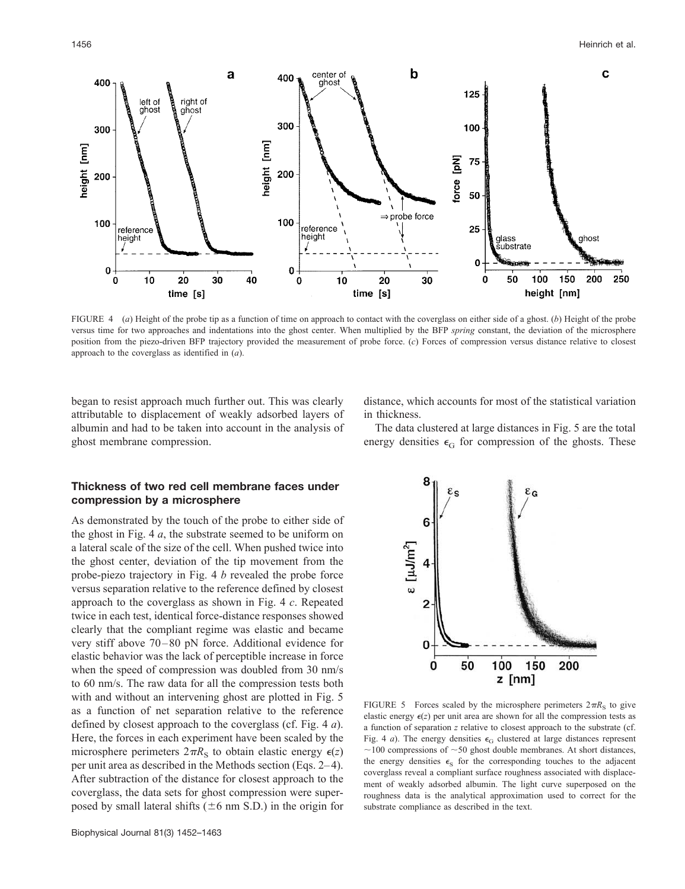

FIGURE 4 (*a*) Height of the probe tip as a function of time on approach to contact with the coverglass on either side of a ghost. (*b*) Height of the probe versus time for two approaches and indentations into the ghost center. When multiplied by the BFP *spring* constant, the deviation of the microsphere position from the piezo-driven BFP trajectory provided the measurement of probe force. (*c*) Forces of compression versus distance relative to closest approach to the coverglass as identified in (*a*).

began to resist approach much further out. This was clearly attributable to displacement of weakly adsorbed layers of albumin and had to be taken into account in the analysis of ghost membrane compression.

distance, which accounts for most of the statistical variation in thickness.

The data clustered at large distances in Fig. 5 are the total energy densities  $\epsilon_G$  for compression of the ghosts. These

# **Thickness of two red cell membrane faces under compression by a microsphere**

As demonstrated by the touch of the probe to either side of the ghost in Fig. 4 *a*, the substrate seemed to be uniform on a lateral scale of the size of the cell. When pushed twice into the ghost center, deviation of the tip movement from the probe-piezo trajectory in Fig. 4 *b* revealed the probe force versus separation relative to the reference defined by closest approach to the coverglass as shown in Fig. 4 *c*. Repeated twice in each test, identical force-distance responses showed clearly that the compliant regime was elastic and became very stiff above 70–80 pN force. Additional evidence for elastic behavior was the lack of perceptible increase in force when the speed of compression was doubled from 30 nm/s to 60 nm/s. The raw data for all the compression tests both with and without an intervening ghost are plotted in Fig. 5 as a function of net separation relative to the reference defined by closest approach to the coverglass (cf. Fig. 4 *a*). Here, the forces in each experiment have been scaled by the microsphere perimeters  $2\pi R_S$  to obtain elastic energy  $\epsilon(z)$ per unit area as described in the Methods section (Eqs. 2– 4). After subtraction of the distance for closest approach to the coverglass, the data sets for ghost compression were superposed by small lateral shifts ( $\pm$ 6 nm S.D.) in the origin for



FIGURE 5 Forces scaled by the microsphere perimeters  $2\pi R_s$  to give elastic energy  $\epsilon(z)$  per unit area are shown for all the compression tests as a function of separation *z* relative to closest approach to the substrate (cf. Fig. 4 *a*). The energy densities  $\epsilon_G$  clustered at large distances represent  $\sim$ 100 compressions of  $\sim$ 50 ghost double membranes. At short distances, the energy densities  $\epsilon_s$  for the corresponding touches to the adjacent coverglass reveal a compliant surface roughness associated with displacement of weakly adsorbed albumin. The light curve superposed on the roughness data is the analytical approximation used to correct for the substrate compliance as described in the text.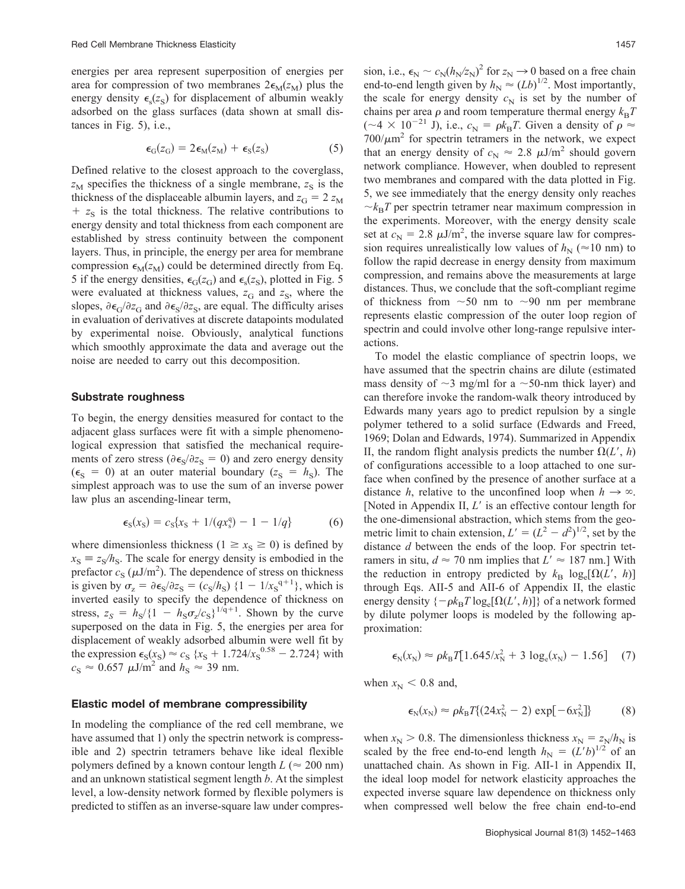energies per area represent superposition of energies per area for compression of two membranes  $2\epsilon_M(z_M)$  plus the energy density  $\epsilon_s(z_S)$  for displacement of albumin weakly adsorbed on the glass surfaces (data shown at small distances in Fig. 5), i.e.,

$$
\epsilon_{\rm G}(z_{\rm G}) = 2\epsilon_{\rm M}(z_{\rm M}) + \epsilon_{\rm S}(z_{\rm S}) \tag{5}
$$

Defined relative to the closest approach to the coverglass,  $z_M$  specifies the thickness of a single membrane,  $z_S$  is the thickness of the displaceable albumin layers, and  $z_G = 2 z_M$  $+ z<sub>S</sub>$  is the total thickness. The relative contributions to energy density and total thickness from each component are established by stress continuity between the component layers. Thus, in principle, the energy per area for membrane compression  $\epsilon_M(z_M)$  could be determined directly from Eq. 5 if the energy densities,  $\epsilon_{G}(z_{G})$  and  $\epsilon_{S}(z_{S})$ , plotted in Fig. 5 were evaluated at thickness values,  $z_G$  and  $z_S$ , where the slopes,  $\partial \epsilon_{\rm G}/\partial z_{\rm G}$  and  $\partial \epsilon_{\rm S}/\partial z_{\rm S}$ , are equal. The difficulty arises in evaluation of derivatives at discrete datapoints modulated by experimental noise. Obviously, analytical functions which smoothly approximate the data and average out the noise are needed to carry out this decomposition.

## **Substrate roughness**

To begin, the energy densities measured for contact to the adjacent glass surfaces were fit with a simple phenomenological expression that satisfied the mechanical requirements of zero stress ( $\partial \epsilon_s / \partial z_s = 0$ ) and zero energy density  $(\epsilon_{\rm S} = 0)$  at an outer material boundary  $(z_{\rm S} = h_{\rm S})$ . The simplest approach was to use the sum of an inverse power law plus an ascending-linear term,

$$
\epsilon_{\rm S}(x_{\rm S}) = c_{\rm S}\{x_{\rm S} + 1/(qx_{\rm S}^{\rm q}) - 1 - 1/q\} \tag{6}
$$

where dimensionless thickness ( $1 \ge x_s \ge 0$ ) is defined by  $x_{\rm S} \equiv z_{\rm S}/h_{\rm S}$ . The scale for energy density is embodied in the prefactor  $c_S$  ( $\mu$ J/m<sup>2</sup>). The dependence of stress on thickness is given by  $\sigma_z = \partial \epsilon_s / \partial z_s = (c_s / h_s) \{1 - 1 / x_s^{q+1}\}\,$ , which is inverted easily to specify the dependence of thickness on stress,  $z_S = h_S / \{1 - h_S \sigma_Z / c_S\}^{1/q+1}$ . Shown by the curve superposed on the data in Fig. 5, the energies per area for displacement of weakly adsorbed albumin were well fit by the expression  $\epsilon_S(x_S) \approx c_S \{x_S + 1.724/x_S^{0.58} - 2.724\}$  with  $c_S \approx 0.657 \mu J/m^2$  and  $h_S \approx 39 \text{ nm}$ .

## **Elastic model of membrane compressibility**

In modeling the compliance of the red cell membrane, we have assumed that 1) only the spectrin network is compressible and 2) spectrin tetramers behave like ideal flexible polymers defined by a known contour length  $L \approx 200$  nm) and an unknown statistical segment length *b*. At the simplest level, a low-density network formed by flexible polymers is predicted to stiffen as an inverse-square law under compres-

sion, i.e.,  $\epsilon_N \sim c_N(h_N/z_N)^2$  for  $z_N \to 0$  based on a free chain end-to-end length given by  $h_N \approx (Lb)^{1/2}$ . Most importantly, the scale for energy density  $c_N$  is set by the number of chains per area  $\rho$  and room temperature thermal energy  $k_B T$  $(\sim 4 \times 10^{-21} \text{ J})$ , i.e.,  $c_N = \rho k_B T$ . Given a density of  $\rho \approx$  $700/\mu$ m<sup>2</sup> for spectrin tetramers in the network, we expect that an energy density of  $c_N \approx 2.8 \mu J/m^2$  should govern network compliance. However, when doubled to represent two membranes and compared with the data plotted in Fig. 5, we see immediately that the energy density only reaches  $\sim k_{\text{B}}T$  per spectrin tetramer near maximum compression in the experiments. Moreover, with the energy density scale set at  $c_N = 2.8 \mu J/m^2$ , the inverse square law for compression requires unrealistically low values of  $h_N \approx 10 \text{ nm}$ ) to follow the rapid decrease in energy density from maximum compression, and remains above the measurements at large distances. Thus, we conclude that the soft-compliant regime of thickness from  $\sim 50$  nm to  $\sim 90$  nm per membrane represents elastic compression of the outer loop region of spectrin and could involve other long-range repulsive interactions.

To model the elastic compliance of spectrin loops, we have assumed that the spectrin chains are dilute (estimated mass density of  $\sim$ 3 mg/ml for a  $\sim$ 50-nm thick layer) and can therefore invoke the random-walk theory introduced by Edwards many years ago to predict repulsion by a single polymer tethered to a solid surface (Edwards and Freed, 1969; Dolan and Edwards, 1974). Summarized in Appendix II, the random flight analysis predicts the number  $\Omega(L', h)$ of configurations accessible to a loop attached to one surface when confined by the presence of another surface at a distance *h*, relative to the unconfined loop when  $h \to \infty$ . [Noted in Appendix II, L' is an effective contour length for the one-dimensional abstraction, which stems from the geometric limit to chain extension,  $L' = (L^2 - d^2)^{1/2}$ , set by the distance *d* between the ends of the loop. For spectrin tetramers in situ,  $d \approx 70$  nm implies that  $L' \approx 187$  nm.] With the reduction in entropy predicted by  $k_B \log_e[\Omega(L', h)]$ through Eqs. AII-5 and AII-6 of Appendix II, the elastic energy density  $\{-\rho k_B T \log_e[\Omega(L', h)]\}$  of a network formed by dilute polymer loops is modeled by the following approximation:

$$
\epsilon_{\rm N}(x_{\rm N}) \approx \rho k_{\rm B} T [1.645/x_{\rm N}^2 + 3 \log_{\rm e}(x_{\rm N}) - 1.56] \quad (7)
$$

when  $x_N < 0.8$  and,

$$
\epsilon_N(x_N) \approx \rho k_B T \{ (24x_N^2 - 2) \exp[-6x_N^2] \}
$$
 (8)

when  $x_N > 0.8$ . The dimensionless thickness  $x_N = z_N/h_N$  is scaled by the free end-to-end length  $h_N = (L'b)^{1/2}$  of an unattached chain. As shown in Fig. AII-1 in Appendix II, the ideal loop model for network elasticity approaches the expected inverse square law dependence on thickness only when compressed well below the free chain end-to-end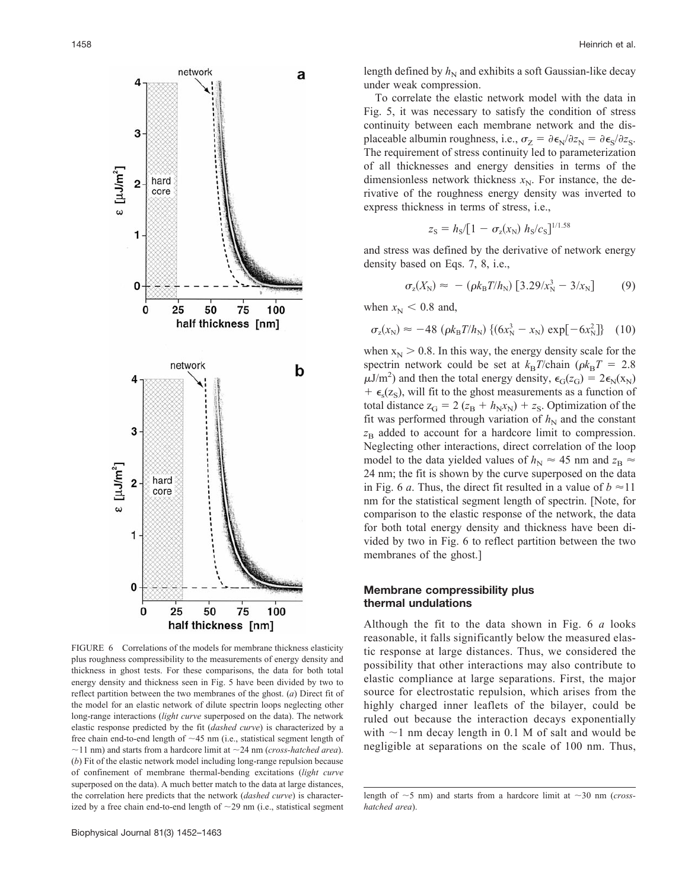

FIGURE 6 Correlations of the models for membrane thickness elasticity plus roughness compressibility to the measurements of energy density and thickness in ghost tests. For these comparisons, the data for both total energy density and thickness seen in Fig. 5 have been divided by two to reflect partition between the two membranes of the ghost. (*a*) Direct fit of the model for an elastic network of dilute spectrin loops neglecting other long-range interactions (*light curve* superposed on the data). The network elastic response predicted by the fit (*dashed curve*) is characterized by a free chain end-to-end length of  $\sim$  45 nm (i.e., statistical segment length of  $\sim$ 11 nm) and starts from a hardcore limit at  $\sim$ 24 nm (*cross-hatched area*). (*b*) Fit of the elastic network model including long-range repulsion because of confinement of membrane thermal-bending excitations (*light curve* superposed on the data). A much better match to the data at large distances, the correlation here predicts that the network (*dashed curve*) is characterized by a free chain end-to-end length of  $\sim$ 29 nm (i.e., statistical segment

length defined by  $h_N$  and exhibits a soft Gaussian-like decay under weak compression.

To correlate the elastic network model with the data in Fig. 5, it was necessary to satisfy the condition of stress continuity between each membrane network and the displaceable albumin roughness, i.e.,  $\sigma_Z = \partial \epsilon_N / \partial z_N = \partial \epsilon_S / \partial z_S$ . The requirement of stress continuity led to parameterization of all thicknesses and energy densities in terms of the dimensionless network thickness  $x_N$ . For instance, the derivative of the roughness energy density was inverted to express thickness in terms of stress, i.e.,

$$
z_{\rm S} = h_{\rm S}/[1 - \sigma_{\rm z}(x_{\rm N}) h_{\rm S}/c_{\rm S}]^{1/1.58}
$$

and stress was defined by the derivative of network energy density based on Eqs. 7, 8, i.e.,

$$
\sigma_{z}(X_{N}) \approx -(\rho k_{B} T/h_{N}) [3.29/x_{N}^{3} - 3/x_{N}] \qquad (9)
$$

when  $x_N < 0.8$  and,

$$
\sigma_z(x_N) \approx -48 \left( \rho k_B T / h_N \right) \{ (6x_N^3 - x_N) \exp[-6x_N^2] \} \quad (10)
$$

when  $x_N > 0.8$ . In this way, the energy density scale for the spectrin network could be set at  $k_B T$ /chain ( $\rho k_B T = 2.8$ )  $\mu$ J/m<sup>2</sup>) and then the total energy density,  $\epsilon_G(z_G) = 2\epsilon_N(x_N)$  $+ \epsilon_{s}(z_{s})$ , will fit to the ghost measurements as a function of total distance  $z_G = 2 (z_B + h_N x_N) + z_S$ . Optimization of the fit was performed through variation of  $h<sub>N</sub>$  and the constant  $z<sub>B</sub>$  added to account for a hardcore limit to compression. Neglecting other interactions, direct correlation of the loop model to the data yielded values of  $h<sub>N</sub> \approx 45$  nm and  $z<sub>B</sub> \approx$ 24 nm; the fit is shown by the curve superposed on the data in Fig. 6 *a*. Thus, the direct fit resulted in a value of  $b \approx 11$ nm for the statistical segment length of spectrin. [Note, for comparison to the elastic response of the network, the data for both total energy density and thickness have been divided by two in Fig. 6 to reflect partition between the two membranes of the ghost.]

# **Membrane compressibility plus thermal undulations**

Although the fit to the data shown in Fig. 6 *a* looks reasonable, it falls significantly below the measured elastic response at large distances. Thus, we considered the possibility that other interactions may also contribute to elastic compliance at large separations. First, the major source for electrostatic repulsion, which arises from the highly charged inner leaflets of the bilayer, could be ruled out because the interaction decays exponentially with  $\sim$ 1 nm decay length in 0.1 M of salt and would be negligible at separations on the scale of 100 nm. Thus,

length of  $\sim$ 5 nm) and starts from a hardcore limit at  $\sim$ 30 nm (*crosshatched area*).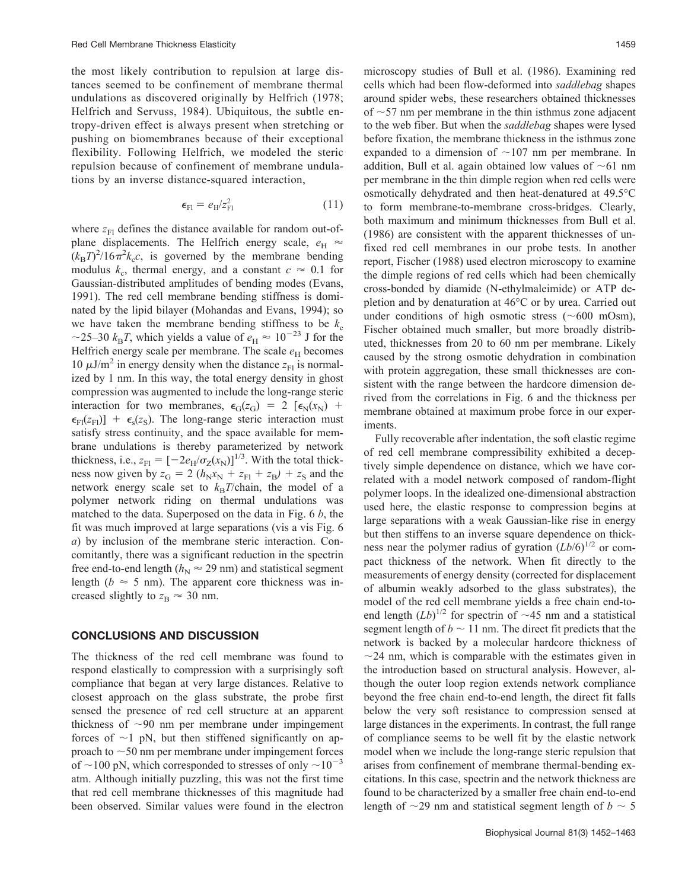the most likely contribution to repulsion at large distances seemed to be confinement of membrane thermal undulations as discovered originally by Helfrich (1978; Helfrich and Servuss, 1984). Ubiquitous, the subtle entropy-driven effect is always present when stretching or pushing on biomembranes because of their exceptional flexibility. Following Helfrich, we modeled the steric repulsion because of confinement of membrane undulations by an inverse distance-squared interaction,

$$
\epsilon_{\rm Fl} = e_{\rm H}/z_{\rm Fl}^2 \tag{11}
$$

where  $z_{\text{F1}}$  defines the distance available for random out-ofplane displacements. The Helfrich energy scale,  $e_{\text{H}} \approx$  $(k_{\rm B}T)^2/16\pi^2k_{\rm c}c$ , is governed by the membrane bending modulus  $k_c$ , thermal energy, and a constant  $c \approx 0.1$  for Gaussian-distributed amplitudes of bending modes (Evans, 1991). The red cell membrane bending stiffness is dominated by the lipid bilayer (Mohandas and Evans, 1994); so we have taken the membrane bending stiffness to be  $k_c$ ~25–30  $k_{\rm B}T$ , which yields a value of  $e_{\rm H} \approx 10^{-23}$  J for the Helfrich energy scale per membrane. The scale  $e_H$  becomes 10  $\mu$ J/m<sup>2</sup> in energy density when the distance  $z_{\text{FI}}$  is normalized by 1 nm. In this way, the total energy density in ghost compression was augmented to include the long-range steric interaction for two membranes,  $\epsilon_G(z_G) = 2 \left[ \epsilon_N(x_N) + \right]$  $\epsilon_{\text{F1}}(z_{\text{F1}})$  +  $\epsilon_{\text{s}}(z_{\text{S}})$ . The long-range steric interaction must satisfy stress continuity, and the space available for membrane undulations is thereby parameterized by network thickness, i.e.,  $z_{\text{FI}} = [-2e_{\text{H}}/\sigma_{\text{Z}}(x_{\text{N}})]^{1/3}$ . With the total thickness now given by  $z_G = 2(h_N x_N + z_{F1} + z_B) + z_S$  and the network energy scale set to  $k_B T/c$ hain, the model of a polymer network riding on thermal undulations was matched to the data. Superposed on the data in Fig. 6 *b*, the fit was much improved at large separations (vis a vis Fig. 6 *a*) by inclusion of the membrane steric interaction. Concomitantly, there was a significant reduction in the spectrin free end-to-end length ( $h<sub>N</sub> \approx 29$  nm) and statistical segment length ( $b \approx 5$  nm). The apparent core thickness was increased slightly to  $z_B \approx 30$  nm.

## **CONCLUSIONS AND DISCUSSION**

The thickness of the red cell membrane was found to respond elastically to compression with a surprisingly soft compliance that began at very large distances. Relative to closest approach on the glass substrate, the probe first sensed the presence of red cell structure at an apparent thickness of  $\sim$ 90 nm per membrane under impingement forces of  $\sim$ 1 pN, but then stiffened significantly on approach to  $\sim$  50 nm per membrane under impingement forces of  $\sim$ 100 pN, which corresponded to stresses of only  $\sim$ 10<sup>-3</sup> atm. Although initially puzzling, this was not the first time that red cell membrane thicknesses of this magnitude had been observed. Similar values were found in the electron

microscopy studies of Bull et al. (1986). Examining red cells which had been flow-deformed into *saddlebag* shapes around spider webs, these researchers obtained thicknesses of  $\sim$  57 nm per membrane in the thin isthmus zone adjacent to the web fiber. But when the *saddlebag* shapes were lysed before fixation, the membrane thickness in the isthmus zone expanded to a dimension of  $\sim$ 107 nm per membrane. In addition, Bull et al. again obtained low values of  $\sim 61$  nm per membrane in the thin dimple region when red cells were osmotically dehydrated and then heat-denatured at 49.5°C to form membrane-to-membrane cross-bridges. Clearly, both maximum and minimum thicknesses from Bull et al. (1986) are consistent with the apparent thicknesses of unfixed red cell membranes in our probe tests. In another report, Fischer (1988) used electron microscopy to examine the dimple regions of red cells which had been chemically cross-bonded by diamide (N-ethylmaleimide) or ATP depletion and by denaturation at 46°C or by urea. Carried out under conditions of high osmotic stress  $(\sim 600 \text{ mOsm})$ , Fischer obtained much smaller, but more broadly distributed, thicknesses from 20 to 60 nm per membrane. Likely caused by the strong osmotic dehydration in combination with protein aggregation, these small thicknesses are consistent with the range between the hardcore dimension derived from the correlations in Fig. 6 and the thickness per membrane obtained at maximum probe force in our experiments.

Fully recoverable after indentation, the soft elastic regime of red cell membrane compressibility exhibited a deceptively simple dependence on distance, which we have correlated with a model network composed of random-flight polymer loops. In the idealized one-dimensional abstraction used here, the elastic response to compression begins at large separations with a weak Gaussian-like rise in energy but then stiffens to an inverse square dependence on thickness near the polymer radius of gyration  $(Lb/6)^{1/2}$  or compact thickness of the network. When fit directly to the measurements of energy density (corrected for displacement of albumin weakly adsorbed to the glass substrates), the model of the red cell membrane yields a free chain end-toend length  $(Lb)^{1/2}$  for spectrin of  $\sim$  45 nm and a statistical segment length of  $b \sim 11$  nm. The direct fit predicts that the network is backed by a molecular hardcore thickness of  $\sim$ 24 nm, which is comparable with the estimates given in the introduction based on structural analysis. However, although the outer loop region extends network compliance beyond the free chain end-to-end length, the direct fit falls below the very soft resistance to compression sensed at large distances in the experiments. In contrast, the full range of compliance seems to be well fit by the elastic network model when we include the long-range steric repulsion that arises from confinement of membrane thermal-bending excitations. In this case, spectrin and the network thickness are found to be characterized by a smaller free chain end-to-end length of  $\sim$ 29 nm and statistical segment length of *b*  $\sim$  5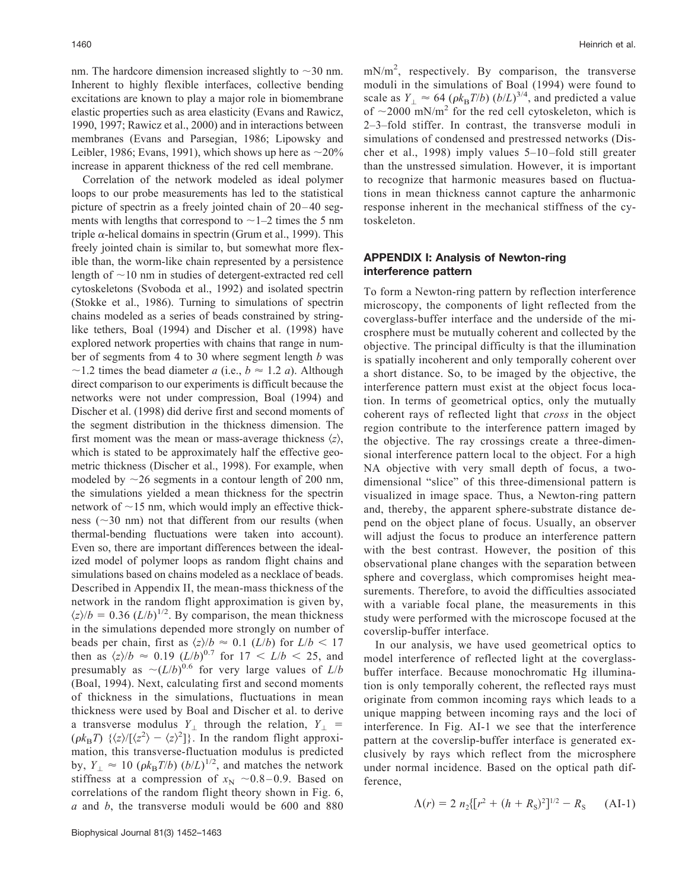nm. The hardcore dimension increased slightly to  $\sim$ 30 nm. Inherent to highly flexible interfaces, collective bending excitations are known to play a major role in biomembrane elastic properties such as area elasticity (Evans and Rawicz, 1990, 1997; Rawicz et al., 2000) and in interactions between membranes (Evans and Parsegian, 1986; Lipowsky and Leibler, 1986; Evans, 1991), which shows up here as  $\sim$ 20% increase in apparent thickness of the red cell membrane.

Correlation of the network modeled as ideal polymer loops to our probe measurements has led to the statistical picture of spectrin as a freely jointed chain of  $20-40$  segments with lengths that correspond to  $\sim$  1–2 times the 5 nm triple  $\alpha$ -helical domains in spectrin (Grum et al., 1999). This freely jointed chain is similar to, but somewhat more flexible than, the worm-like chain represented by a persistence length of  $\sim$ 10 nm in studies of detergent-extracted red cell cytoskeletons (Svoboda et al., 1992) and isolated spectrin (Stokke et al., 1986). Turning to simulations of spectrin chains modeled as a series of beads constrained by stringlike tethers, Boal (1994) and Discher et al. (1998) have explored network properties with chains that range in number of segments from 4 to 30 where segment length *b* was  $\sim$ 1.2 times the bead diameter *a* (i.e., *b*  $\approx$  1.2 *a*). Although direct comparison to our experiments is difficult because the networks were not under compression, Boal (1994) and Discher et al. (1998) did derive first and second moments of the segment distribution in the thickness dimension. The first moment was the mean or mass-average thickness  $\langle z \rangle$ , which is stated to be approximately half the effective geometric thickness (Discher et al., 1998). For example, when modeled by  $\sim$  26 segments in a contour length of 200 nm, the simulations yielded a mean thickness for the spectrin network of  $\sim$ 15 nm, which would imply an effective thickness  $(\sim]30$  nm) not that different from our results (when thermal-bending fluctuations were taken into account). Even so, there are important differences between the idealized model of polymer loops as random flight chains and simulations based on chains modeled as a necklace of beads. Described in Appendix II, the mean-mass thickness of the network in the random flight approximation is given by,  $\langle z \rangle/b = 0.36$   $(L/b)^{1/2}$ . By comparison, the mean thickness in the simulations depended more strongly on number of beads per chain, first as  $\langle z \rangle/b \approx 0.1$  (*L*/*b*) for *L*/*b* < 17 then as  $\langle z \rangle / b \approx 0.19$   $(L/b)^{0.7}$  for  $17 < L/b < 25$ , and presumably as  $\sim (L/b)^{0.6}$  for very large values of  $L/b$ (Boal, 1994). Next, calculating first and second moments of thickness in the simulations, fluctuations in mean thickness were used by Boal and Discher et al. to derive a transverse modulus  $Y_{\perp}$  through the relation,  $Y_{\perp}$  =  $(\rho k_B T)$  { $\langle z \rangle / [\langle z^2 \rangle - \langle z \rangle^2]$ }. In the random flight approximation, this transverse-fluctuation modulus is predicted by,  $Y_{\perp} \approx 10 \ (\rho k_B T/b) \ (b/L)^{1/2}$ , and matches the network stiffness at a compression of  $x_N \sim 0.8 - 0.9$ . Based on correlations of the random flight theory shown in Fig. 6, *a* and *b*, the transverse moduli would be 600 and 880

mN/m<sup>2</sup>, respectively. By comparison, the transverse moduli in the simulations of Boal (1994) were found to scale as  $Y_{\perp} \approx 64 \left( \rho k_{\text{B}} T/b \right) \left( \frac{b}{L} \right)^{3/4}$ , and predicted a value of  $\sim$ 2000 mN/m<sup>2</sup> for the red cell cytoskeleton, which is 2–3–fold stiffer. In contrast, the transverse moduli in simulations of condensed and prestressed networks (Discher et al., 1998) imply values 5–10 –fold still greater than the unstressed simulation. However, it is important to recognize that harmonic measures based on fluctuations in mean thickness cannot capture the anharmonic response inherent in the mechanical stiffness of the cytoskeleton.

# **APPENDIX I: Analysis of Newton-ring interference pattern**

To form a Newton-ring pattern by reflection interference microscopy, the components of light reflected from the coverglass-buffer interface and the underside of the microsphere must be mutually coherent and collected by the objective. The principal difficulty is that the illumination is spatially incoherent and only temporally coherent over a short distance. So, to be imaged by the objective, the interference pattern must exist at the object focus location. In terms of geometrical optics, only the mutually coherent rays of reflected light that *cross* in the object region contribute to the interference pattern imaged by the objective. The ray crossings create a three-dimensional interference pattern local to the object. For a high NA objective with very small depth of focus, a twodimensional "slice" of this three-dimensional pattern is visualized in image space. Thus, a Newton-ring pattern and, thereby, the apparent sphere-substrate distance depend on the object plane of focus. Usually, an observer will adjust the focus to produce an interference pattern with the best contrast. However, the position of this observational plane changes with the separation between sphere and coverglass, which compromises height measurements. Therefore, to avoid the difficulties associated with a variable focal plane, the measurements in this study were performed with the microscope focused at the coverslip-buffer interface.

In our analysis, we have used geometrical optics to model interference of reflected light at the coverglassbuffer interface. Because monochromatic Hg illumination is only temporally coherent, the reflected rays must originate from common incoming rays which leads to a unique mapping between incoming rays and the loci of interference. In Fig. AI-1 we see that the interference pattern at the coverslip-buffer interface is generated exclusively by rays which reflect from the microsphere under normal incidence. Based on the optical path difference,

$$
\Lambda(r) = 2 n_2 \{ [r^2 + (h + R_S)^2]^{1/2} - R_S \quad \text{(Al-1)}
$$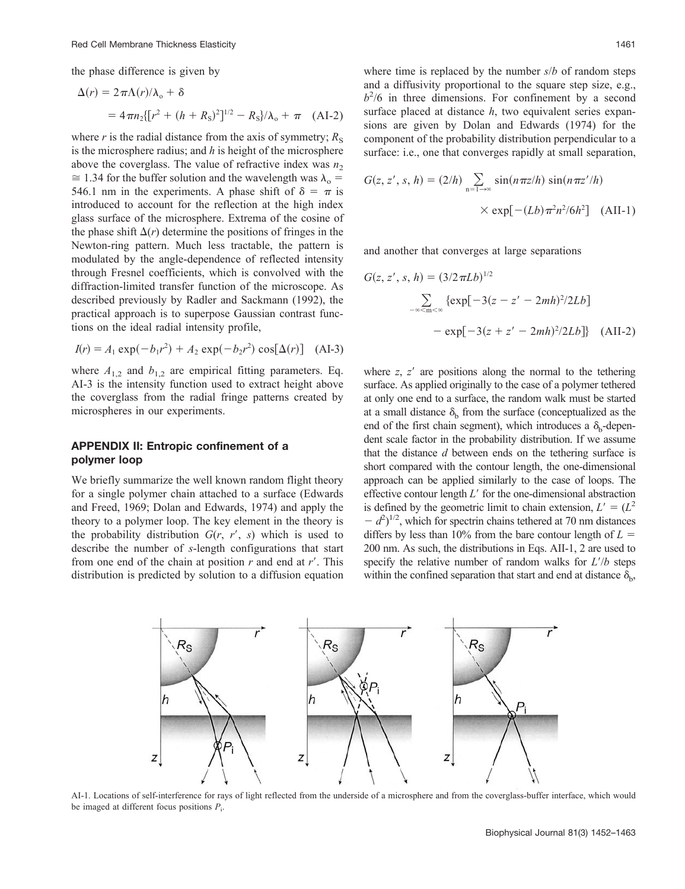the phase difference is given by

$$
\Delta(r) = 2\pi \Lambda(r)/\lambda_{0} + \delta
$$
  
=  $4\pi n_{2} \{ [r^{2} + (h + R_{S})^{2}]^{1/2} - R_{S} \} / \lambda_{0} + \pi$  (AI-2)

where *r* is the radial distance from the axis of symmetry;  $R<sub>S</sub>$ is the microsphere radius; and *h* is height of the microsphere above the coverglass. The value of refractive index was  $n_2$  $\approx$  1.34 for the buffer solution and the wavelength was  $\lambda_{o}$  = 546.1 nm in the experiments. A phase shift of  $\delta = \pi$  is introduced to account for the reflection at the high index glass surface of the microsphere. Extrema of the cosine of the phase shift  $\Delta(r)$  determine the positions of fringes in the Newton-ring pattern. Much less tractable, the pattern is modulated by the angle-dependence of reflected intensity through Fresnel coefficients, which is convolved with the diffraction-limited transfer function of the microscope. As described previously by Radler and Sackmann (1992), the practical approach is to superpose Gaussian contrast functions on the ideal radial intensity profile,

$$
I(r) = A_1 \exp(-b_1 r^2) + A_2 \exp(-b_2 r^2) \cos[\Delta(r)] \quad \text{(Al-3)}
$$

where  $A_{1,2}$  and  $b_{1,2}$  are empirical fitting parameters. Eq. AI-3 is the intensity function used to extract height above the coverglass from the radial fringe patterns created by microspheres in our experiments.

# **APPENDIX II: Entropic confinement of a polymer loop**

We briefly summarize the well known random flight theory for a single polymer chain attached to a surface (Edwards and Freed, 1969; Dolan and Edwards, 1974) and apply the theory to a polymer loop. The key element in the theory is the probability distribution  $G(r, r', s)$  which is used to describe the number of *s*-length configurations that start from one end of the chain at position *r* and end at *r*. This distribution is predicted by solution to a diffusion equation where time is replaced by the number *s*/*b* of random steps and a diffusivity proportional to the square step size, e.g.,  $b<sup>2</sup>/6$  in three dimensions. For confinement by a second surface placed at distance *h*, two equivalent series expansions are given by Dolan and Edwards (1974) for the component of the probability distribution perpendicular to a surface: i.e., one that converges rapidly at small separation,

$$
G(z, z', s, h) = (2/h) \sum_{n=1 \to \infty} \sin(n\pi z/h) \sin(n\pi z'/h)
$$

$$
\times \exp[-(Lb)\pi^2 n^2/6h^2] \quad \text{(All-1)}
$$

and another that converges at large separations

$$
G(z, z', s, h) = (3/2 \pi Lb)^{1/2}
$$

$$
\sum_{-\infty < m < \infty} \{ \exp[-3(z - z' - 2mh)^{2}/2Lb] - \exp[-3(z + z' - 2mh)^{2}/2Lb] \} \quad \text{(All-2)}
$$

where  $z$ ,  $z'$  are positions along the normal to the tethering surface. As applied originally to the case of a polymer tethered at only one end to a surface, the random walk must be started at a small distance  $\delta_{\rm b}$  from the surface (conceptualized as the end of the first chain segment), which introduces a  $\delta_{\rm b}$ -dependent scale factor in the probability distribution. If we assume that the distance *d* between ends on the tethering surface is short compared with the contour length, the one-dimensional approach can be applied similarly to the case of loops. The effective contour length  $L'$  for the one-dimensional abstraction is defined by the geometric limit to chain extension,  $L' = (L^2)$  $-d^2$ <sup>1/2</sup>, which for spectrin chains tethered at 70 nm distances differs by less than 10% from the bare contour length of  $L =$ 200 nm. As such, the distributions in Eqs. AII-1, 2 are used to specify the relative number of random walks for *L*/*b* steps within the confined separation that start and end at distance  $\delta_{b}$ ,



AI-1. Locations of self-interference for rays of light reflected from the underside of a microsphere and from the coverglass-buffer interface, which would be imaged at different focus positions  $P_i$ .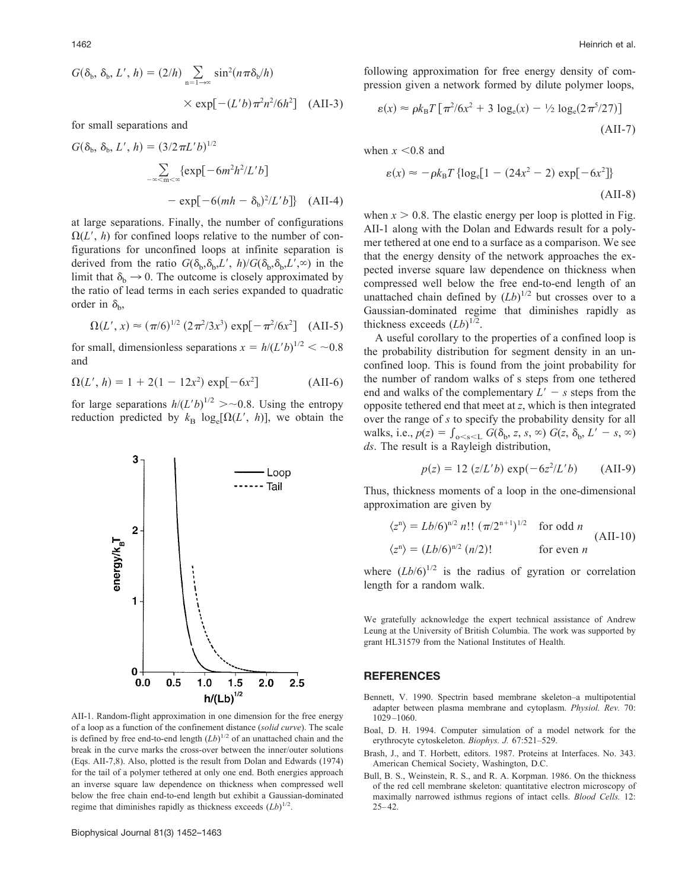$$
G(\delta_{\rm b}, \delta_{\rm b}, L', h) = (2/h) \sum_{\rm n=1 \to \infty} \sin^2(n\pi\delta_{\rm b}/h)
$$

$$
\times \exp[-(L'b)\pi^2n^2/6h^2] \quad \text{(AII-3)}
$$

for small separations and

$$
G(\delta_{b}, \delta_{b}, L', h) = (3/2 \pi L'b)^{1/2}
$$

$$
\sum_{-\infty < m < \infty} \{ \exp[-6m^{2}h^{2}/L'b] - \exp[-6(mh - \delta_{b})^{2}/L'b] \} \quad (All-4)
$$

at large separations. Finally, the number of configurations  $\Omega(L', h)$  for confined loops relative to the number of configurations for unconfined loops at infinite separation is derived from the ratio  $G(\delta_{b},\delta_{b},L',h)/G(\delta_{b},\delta_{b},L',\infty)$  in the limit that  $\delta_b \rightarrow 0$ . The outcome is closely approximated by the ratio of lead terms in each series expanded to quadratic order in  $\delta_{\rm b}$ ,

$$
\Omega(L', x) \approx (\pi/6)^{1/2} (2\pi^2/3x^3) \exp[-\pi^2/6x^2]
$$
 (AII-5)

for small, dimensionless separations  $x = h/(L'b)^{1/2} < -0.8$ and

$$
\Omega(L', h) = 1 + 2(1 - 12x^2) \exp[-6x^2]
$$
 (AII-6)

for large separations  $h/(L'b)^{1/2} > \sim 0.8$ . Using the entropy reduction predicted by  $k_B \log_e[\Omega(L', h)]$ , we obtain the



AII-1. Random-flight approximation in one dimension for the free energy of a loop as a function of the confinement distance (*solid curve*). The scale is defined by free end-to-end length  $(Lb)^{1/2}$  of an unattached chain and the break in the curve marks the cross-over between the inner/outer solutions (Eqs. AII-7,8). Also, plotted is the result from Dolan and Edwards (1974) for the tail of a polymer tethered at only one end. Both energies approach an inverse square law dependence on thickness when compressed well below the free chain end-to-end length but exhibit a Gaussian-dominated regime that diminishes rapidly as thickness exceeds (*Lb*) 1/2.

following approximation for free energy density of compression given a network formed by dilute polymer loops,

$$
\varepsilon(x) \approx \rho k_{\rm B} T \left[ \pi^2 / 6x^2 + 3 \log_{\rm e}(x) - \frac{1}{2} \log_{\rm e}(2\pi^5 / 27) \right]
$$
\n(AII-7)

when  $x \leq 0.8$  and

$$
\varepsilon(x) \approx -\rho k_{\rm B} T \left\{ \log_{\rm e} [1 - (24x^2 - 2) \exp[-6x^2] \right\}
$$
\n(AII-8)

when  $x > 0.8$ . The elastic energy per loop is plotted in Fig. AII-1 along with the Dolan and Edwards result for a polymer tethered at one end to a surface as a comparison. We see that the energy density of the network approaches the expected inverse square law dependence on thickness when compressed well below the free end-to-end length of an unattached chain defined by  $(Lb)^{1/2}$  but crosses over to a Gaussian-dominated regime that diminishes rapidly as thickness exceeds  $(Lb)^{1/2}$ .

A useful corollary to the properties of a confined loop is the probability distribution for segment density in an unconfined loop. This is found from the joint probability for the number of random walks of s steps from one tethered end and walks of the complementary  $L' - s$  steps from the opposite tethered end that meet at *z*, which is then integrated over the range of *s* to specify the probability density for all walks, i.e.,  $p(z) = \int_{0 \le s \le L} G(\delta_b, z, s, \infty) G(z, \delta_b, L' - s, \infty)$ *ds*. The result is a Rayleigh distribution,

$$
p(z) = 12 (z/L'b) \exp(-6z^2/L'b)
$$
 (All-9)

Thus, thickness moments of a loop in the one-dimensional approximation are given by

$$
\langle z^n \rangle = Lb/6)^{n/2} n!! \left( \frac{\pi}{2^{n+1}} \right)^{1/2} \quad \text{for odd } n
$$
  

$$
\langle z^n \rangle = (Lb/6)^{n/2} (n/2)!
$$
 for even *n*

where  $(Lb/6)^{1/2}$  is the radius of gyration or correlation length for a random walk.

We gratefully acknowledge the expert technical assistance of Andrew Leung at the University of British Columbia. The work was supported by grant HL31579 from the National Institutes of Health.

#### **REFERENCES**

- Bennett, V. 1990. Spectrin based membrane skeleton–a multipotential adapter between plasma membrane and cytoplasm. *Physiol. Rev.* 70: 1029 –1060.
- Boal, D. H. 1994. Computer simulation of a model network for the erythrocyte cytoskeleton. *Biophys. J.* 67:521–529.
- Brash, J., and T. Horbett, editors. 1987. Proteins at Interfaces. No. 343. American Chemical Society, Washington, D.C.
- Bull, B. S., Weinstein, R. S., and R. A. Korpman. 1986. On the thickness of the red cell membrane skeleton: quantitative electron microscopy of maximally narrowed isthmus regions of intact cells. *Blood Cells.* 12:  $25 - 42$ .